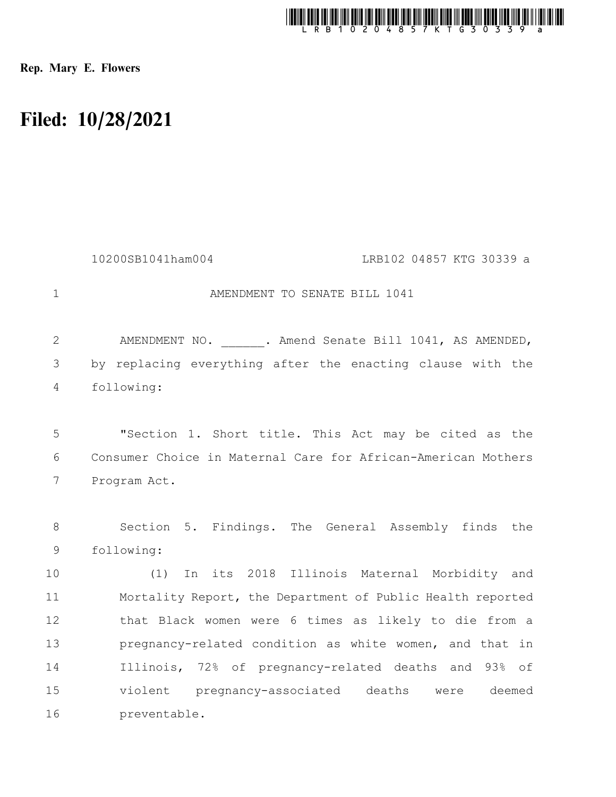

Rep. Mary E. Flowers

## Filed: 10/28/2021

|                | 10200SB1041ham004<br>LRB102 04857 KTG 30339 a                 |
|----------------|---------------------------------------------------------------|
| $\mathbf{1}$   | AMENDMENT TO SENATE BILL 1041                                 |
| $\mathbf{2}$   | AMENDMENT NO. . Amend Senate Bill 1041, AS AMENDED,           |
| 3              | by replacing everything after the enacting clause with the    |
| $\overline{4}$ | following:                                                    |
|                |                                                               |
| 5              | "Section 1. Short title. This Act may be cited as the         |
| 6              | Consumer Choice in Maternal Care for African-American Mothers |
| 7              | Program Act.                                                  |
|                |                                                               |
| 8              | Section 5. Findings. The General Assembly finds the           |
| $\mathsf 9$    | following:                                                    |
| 10             | In its 2018 Illinois Maternal Morbidity and<br>(1)            |
| 11             | Mortality Report, the Department of Public Health reported    |
| 12             | that Black women were 6 times as likely to die from a         |
| 13             | pregnancy-related condition as white women, and that in       |
| 14             | Illinois, 72% of pregnancy-related deaths and 93% of          |
| 15             | violent pregnancy-associated deaths were<br>deemed            |
| 16             | preventable.                                                  |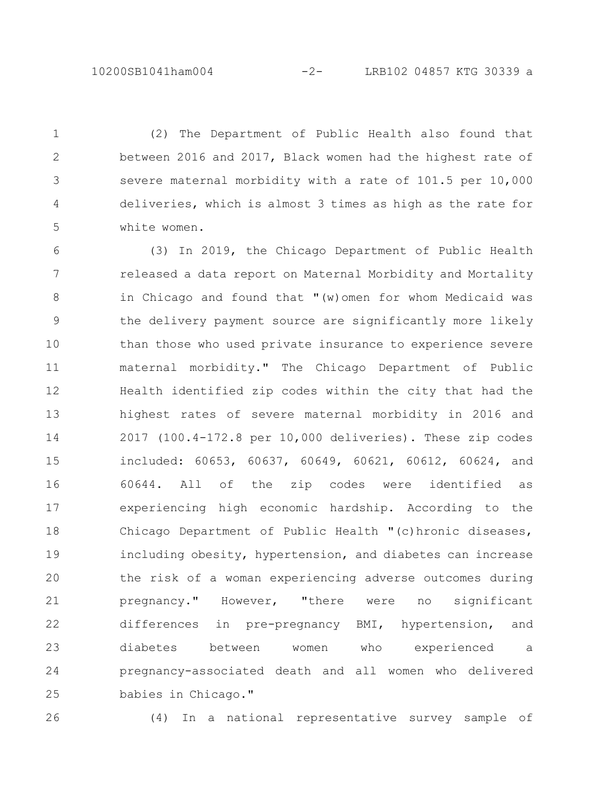(2) The Department of Public Health also found that between 2016 and 2017, Black women had the highest rate of severe maternal morbidity with a rate of 101.5 per 10,000 deliveries, which is almost 3 times as high as the rate for white women. 1 2 3 4 5

(3) In 2019, the Chicago Department of Public Health released a data report on Maternal Morbidity and Mortality in Chicago and found that "(w)omen for whom Medicaid was the delivery payment source are significantly more likely than those who used private insurance to experience severe maternal morbidity." The Chicago Department of Public Health identified zip codes within the city that had the highest rates of severe maternal morbidity in 2016 and 2017 (100.4-172.8 per 10,000 deliveries). These zip codes included: 60653, 60637, 60649, 60621, 60612, 60624, and 60644. All of the zip codes were identified as experiencing high economic hardship. According to the Chicago Department of Public Health "(c)hronic diseases, including obesity, hypertension, and diabetes can increase the risk of a woman experiencing adverse outcomes during pregnancy." However, "there were no significant differences in pre-pregnancy BMI, hypertension, and diabetes between women who experienced a pregnancy-associated death and all women who delivered babies in Chicago." 6 7 8 9 10 11 12 13 14 15 16 17 18 19 20 21 22 23 24 25

26

(4) In a national representative survey sample of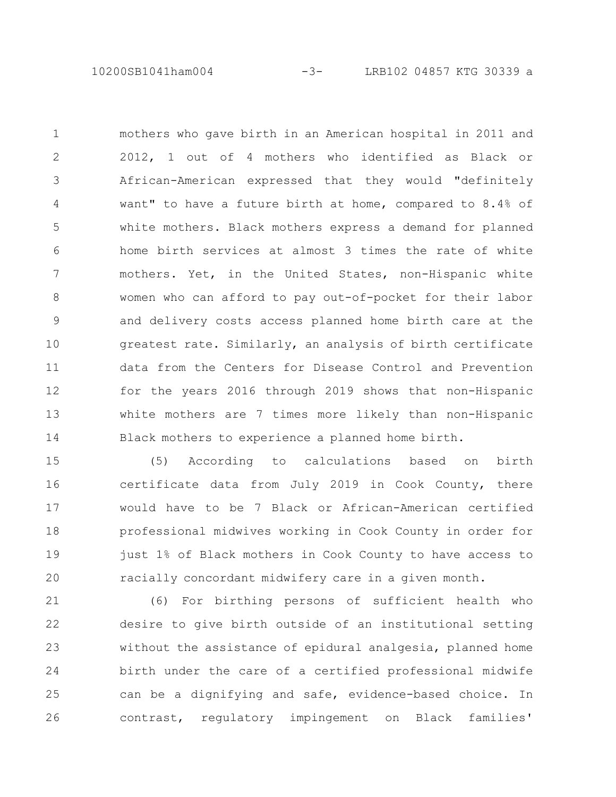10200SB1041ham004 -3- LRB102 04857 KTG 30339 a

mothers who gave birth in an American hospital in 2011 and 2012, 1 out of 4 mothers who identified as Black or African-American expressed that they would "definitely want" to have a future birth at home, compared to 8.4% of white mothers. Black mothers express a demand for planned home birth services at almost 3 times the rate of white mothers. Yet, in the United States, non-Hispanic white women who can afford to pay out-of-pocket for their labor and delivery costs access planned home birth care at the greatest rate. Similarly, an analysis of birth certificate data from the Centers for Disease Control and Prevention for the years 2016 through 2019 shows that non-Hispanic white mothers are 7 times more likely than non-Hispanic Black mothers to experience a planned home birth. 1 2 3 4 5 6 7 8 9 10 11 12 13 14

(5) According to calculations based on birth certificate data from July 2019 in Cook County, there would have to be 7 Black or African-American certified professional midwives working in Cook County in order for just 1% of Black mothers in Cook County to have access to racially concordant midwifery care in a given month. 15 16 17 18 19 20

(6) For birthing persons of sufficient health who desire to give birth outside of an institutional setting without the assistance of epidural analgesia, planned home birth under the care of a certified professional midwife can be a dignifying and safe, evidence-based choice. In contrast, regulatory impingement on Black families' 21 22 23 24 25 26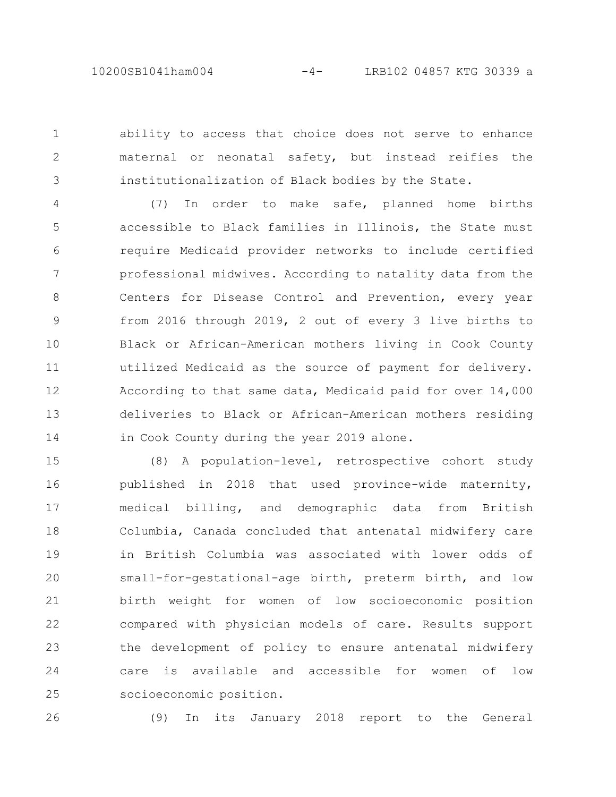ability to access that choice does not serve to enhance maternal or neonatal safety, but instead reifies the institutionalization of Black bodies by the State. 1 2 3

(7) In order to make safe, planned home births accessible to Black families in Illinois, the State must require Medicaid provider networks to include certified professional midwives. According to natality data from the Centers for Disease Control and Prevention, every year from 2016 through 2019, 2 out of every 3 live births to Black or African-American mothers living in Cook County utilized Medicaid as the source of payment for delivery. According to that same data, Medicaid paid for over 14,000 deliveries to Black or African-American mothers residing in Cook County during the year 2019 alone. 4 5 6 7 8 9 10 11 12 13 14

(8) A population-level, retrospective cohort study published in 2018 that used province-wide maternity, medical billing, and demographic data from British Columbia, Canada concluded that antenatal midwifery care in British Columbia was associated with lower odds of small-for-gestational-age birth, preterm birth, and low birth weight for women of low socioeconomic position compared with physician models of care. Results support the development of policy to ensure antenatal midwifery care is available and accessible for women of low socioeconomic position. 15 16 17 18 19 20 21 22 23 24 25

26

(9) In its January 2018 report to the General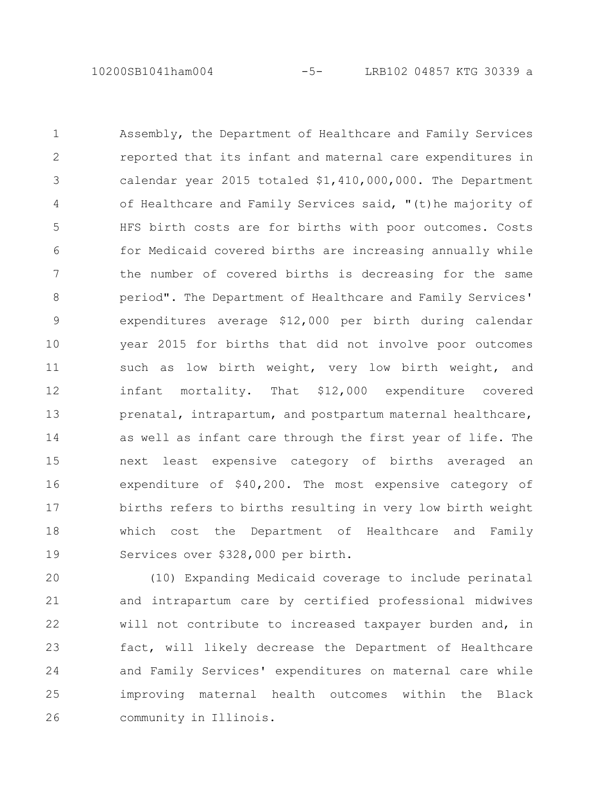Assembly, the Department of Healthcare and Family Services reported that its infant and maternal care expenditures in calendar year 2015 totaled \$1,410,000,000. The Department of Healthcare and Family Services said, "(t)he majority of HFS birth costs are for births with poor outcomes. Costs for Medicaid covered births are increasing annually while the number of covered births is decreasing for the same period". The Department of Healthcare and Family Services' expenditures average \$12,000 per birth during calendar year 2015 for births that did not involve poor outcomes such as low birth weight, very low birth weight, and infant mortality. That \$12,000 expenditure covered prenatal, intrapartum, and postpartum maternal healthcare, as well as infant care through the first year of life. The next least expensive category of births averaged an expenditure of \$40,200. The most expensive category of births refers to births resulting in very low birth weight which cost the Department of Healthcare and Family Services over \$328,000 per birth. 1 2 3 4 5 6 7 8 9 10 11 12 13 14 15 16 17 18 19

(10) Expanding Medicaid coverage to include perinatal and intrapartum care by certified professional midwives will not contribute to increased taxpayer burden and, in fact, will likely decrease the Department of Healthcare and Family Services' expenditures on maternal care while improving maternal health outcomes within the Black community in Illinois. 20 21 22 23 24 25 26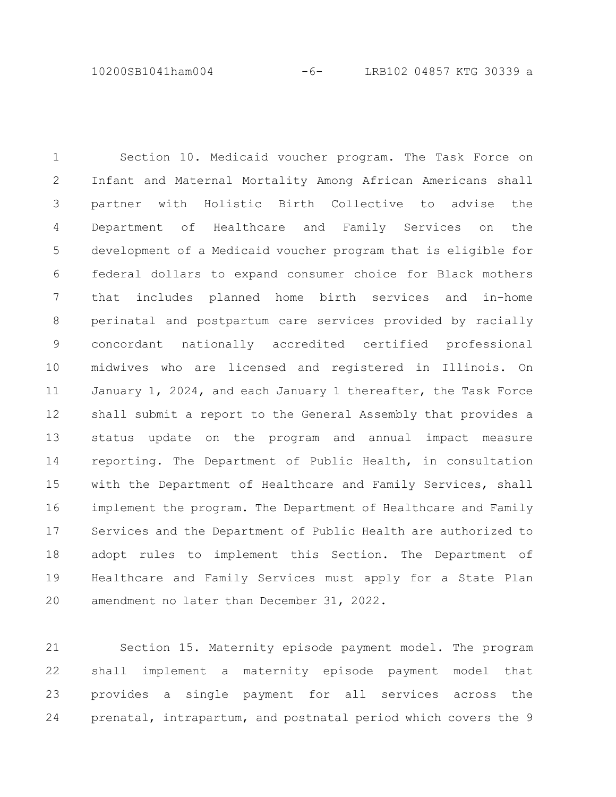10200SB1041ham004 -6- LRB102 04857 KTG 30339 a

Section 10. Medicaid voucher program. The Task Force on Infant and Maternal Mortality Among African Americans shall partner with Holistic Birth Collective to advise the Department of Healthcare and Family Services on the development of a Medicaid voucher program that is eligible for federal dollars to expand consumer choice for Black mothers that includes planned home birth services and in-home perinatal and postpartum care services provided by racially concordant nationally accredited certified professional midwives who are licensed and registered in Illinois. On January 1, 2024, and each January 1 thereafter, the Task Force shall submit a report to the General Assembly that provides a status update on the program and annual impact measure reporting. The Department of Public Health, in consultation with the Department of Healthcare and Family Services, shall implement the program. The Department of Healthcare and Family Services and the Department of Public Health are authorized to adopt rules to implement this Section. The Department of Healthcare and Family Services must apply for a State Plan amendment no later than December 31, 2022. 1 2 3 4 5 6 7 8 9 10 11 12 13 14 15 16 17 18 19 20

Section 15. Maternity episode payment model. The program shall implement a maternity episode payment model that provides a single payment for all services across the prenatal, intrapartum, and postnatal period which covers the 9 21 22 23 24